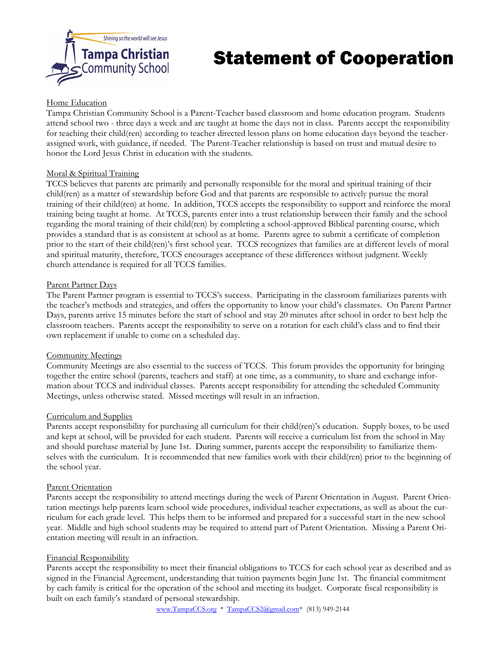

# Statement of Cooperation

## Home Education

Tampa Christian Community School is a Parent-Teacher based classroom and home education program. Students attend school two - three days a week and are taught at home the days not in class. Parents accept the responsibility for teaching their child(ren) according to teacher directed lesson plans on home education days beyond the teacherassigned work, with guidance, if needed. The Parent-Teacher relationship is based on trust and mutual desire to honor the Lord Jesus Christ in education with the students.

## Moral & Spiritual Training

TCCS believes that parents are primarily and personally responsible for the moral and spiritual training of their child(ren) as a matter of stewardship before God and that parents are responsible to actively pursue the moral training of their child(ren) at home. In addition, TCCS accepts the responsibility to support and reinforce the moral training being taught at home. At TCCS, parents enter into a trust relationship between their family and the school regarding the moral training of their child(ren) by completing a school-approved Biblical parenting course, which provides a standard that is as consistent at school as at home. Parents agree to submit a certificate of completion prior to the start of their child(ren)'s first school year. TCCS recognizes that families are at different levels of moral and spiritual maturity, therefore, TCCS encourages acceptance of these differences without judgment. Weekly church attendance is required for all TCCS families.

### Parent Partner Days

The Parent Partner program is essential to TCCS's success. Participating in the classroom familiarizes parents with the teacher's methods and strategies, and offers the opportunity to know your child's classmates. On Parent Partner Days, parents arrive 15 minutes before the start of school and stay 20 minutes after school in order to best help the classroom teachers. Parents accept the responsibility to serve on a rotation for each child's class and to find their own replacement if unable to come on a scheduled day.

#### Community Meetings

Community Meetings are also essential to the success of TCCS. This forum provides the opportunity for bringing together the entire school (parents, teachers and staff) at one time, as a community, to share and exchange information about TCCS and individual classes. Parents accept responsibility for attending the scheduled Community Meetings, unless otherwise stated. Missed meetings will result in an infraction.

#### Curriculum and Supplies

Parents accept responsibility for purchasing all curriculum for their child(ren)'s education. Supply boxes, to be used and kept at school, will be provided for each student. Parents will receive a curriculum list from the school in May and should purchase material by June 1st. During summer, parents accept the responsibility to familiarize themselves with the curriculum. It is recommended that new families work with their child(ren) prior to the beginning of the school year.

#### Parent Orientation

Parents accept the responsibility to attend meetings during the week of Parent Orientation in August. Parent Orientation meetings help parents learn school wide procedures, individual teacher expectations, as well as about the curriculum for each grade level. This helps them to be informed and prepared for a successful start in the new school year. Middle and high school students may be required to attend part of Parent Orientation. Missing a Parent Orientation meeting will result in an infraction.

## Financial Responsibility

Parents accept the responsibility to meet their financial obligations to TCCS for each school year as described and as signed in the Financial Agreement, understanding that tuition payments begin June 1st. The financial commitment by each family is critical for the operation of the school and meeting its budget. Corporate fiscal responsibility is built on each family's standard of personal stewardship.